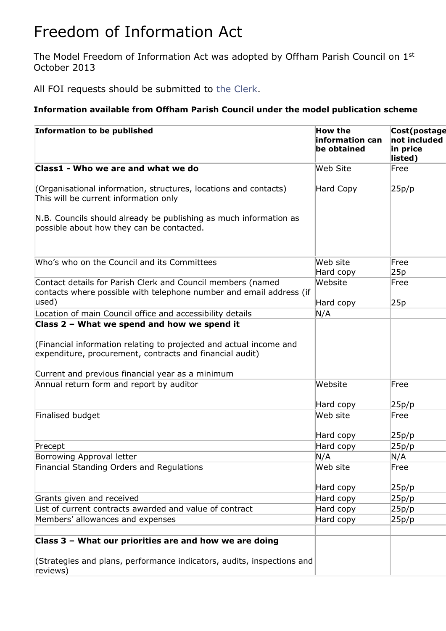## Freedom of Information Act

The Model Freedom of Information Act was adopted by Offham Parish Council on 1st October 2013

All FOI requests should be submitted to [the Clerk.](mailto:clerk@kingshillparish.gov.uk)

## **Information available from Offham Parish Council under the model publication scheme**

| <b>Information to be published</b>                                                                                                                                                 | <b>How the</b><br>information can<br>be obtained | Cost(postage<br>not included<br>in price<br>listed) |
|------------------------------------------------------------------------------------------------------------------------------------------------------------------------------------|--------------------------------------------------|-----------------------------------------------------|
| Class1 - Who we are and what we do                                                                                                                                                 | <b>Web Site</b>                                  | Free                                                |
| (Organisational information, structures, locations and contacts)<br>This will be current information only                                                                          | Hard Copy                                        | 25p/p                                               |
| N.B. Councils should already be publishing as much information as<br>possible about how they can be contacted.                                                                     |                                                  |                                                     |
| Who's who on the Council and its Committees                                                                                                                                        | Web site<br>Hard copy                            | Free<br>25p                                         |
| Contact details for Parish Clerk and Council members (named<br>contacts where possible with telephone number and email address (if<br>used)                                        | Website                                          | Free                                                |
|                                                                                                                                                                                    | Hard copy                                        | 25p                                                 |
| Location of main Council office and accessibility details<br>Class 2 - What we spend and how we spend it                                                                           | N/A                                              |                                                     |
| (Financial information relating to projected and actual income and<br>expenditure, procurement, contracts and financial audit)<br>Current and previous financial year as a minimum |                                                  |                                                     |
| Annual return form and report by auditor                                                                                                                                           | Website                                          | Free                                                |
|                                                                                                                                                                                    | Hard copy                                        | 25p/p                                               |
| Finalised budget                                                                                                                                                                   | Web site                                         | Free                                                |
|                                                                                                                                                                                    | Hard copy                                        | 25p/p                                               |
| Precept                                                                                                                                                                            | Hard copy                                        | 25p/p                                               |
| Borrowing Approval letter                                                                                                                                                          | N/A                                              | N/A                                                 |
| Financial Standing Orders and Regulations                                                                                                                                          | Web site                                         | Free                                                |
|                                                                                                                                                                                    | Hard copy                                        | 25p/p                                               |
| Grants given and received                                                                                                                                                          | Hard copy                                        | 25p/p                                               |
| List of current contracts awarded and value of contract                                                                                                                            | Hard copy                                        | 25p/p                                               |
| Members' allowances and expenses                                                                                                                                                   | Hard copy                                        | 25p/p                                               |
|                                                                                                                                                                                    |                                                  |                                                     |
| Class 3 - What our priorities are and how we are doing                                                                                                                             |                                                  |                                                     |
| (Strategies and plans, performance indicators, audits, inspections and<br>reviews)                                                                                                 |                                                  |                                                     |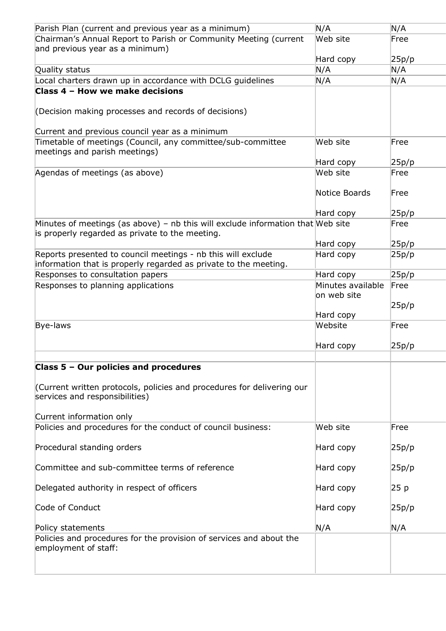| Parish Plan (current and previous year as a minimum)                                                                               | N/A                              | N/A   |
|------------------------------------------------------------------------------------------------------------------------------------|----------------------------------|-------|
| Chairman's Annual Report to Parish or Community Meeting (current<br>and previous year as a minimum)                                | Web site                         | Free  |
|                                                                                                                                    | Hard copy                        | 25p/p |
| Quality status                                                                                                                     | N/A                              | N/A   |
| Local charters drawn up in accordance with DCLG guidelines                                                                         | N/A                              | N/A   |
| Class 4 - How we make decisions                                                                                                    |                                  |       |
| (Decision making processes and records of decisions)                                                                               |                                  |       |
| Current and previous council year as a minimum                                                                                     |                                  |       |
| Timetable of meetings (Council, any committee/sub-committee<br>meetings and parish meetings)                                       | Web site                         | Free  |
|                                                                                                                                    | Hard copy                        | 25p/p |
| Agendas of meetings (as above)                                                                                                     | Web site                         | Free  |
|                                                                                                                                    | Notice Boards                    | Free  |
|                                                                                                                                    | Hard copy                        | 25p/p |
| Minutes of meetings (as above) – nb this will exclude information that Web site<br>is properly regarded as private to the meeting. |                                  | Free  |
|                                                                                                                                    | Hard copy                        | 25p/p |
| Reports presented to council meetings - nb this will exclude<br>information that is properly regarded as private to the meeting.   | Hard copy                        | 25p/p |
| Responses to consultation papers                                                                                                   | Hard copy                        | 25p/p |
| Responses to planning applications                                                                                                 | Minutes available<br>on web site | Free  |
|                                                                                                                                    |                                  | 25p/p |
| <b>Bye-laws</b>                                                                                                                    | Hard copy<br>Website             | Free  |
|                                                                                                                                    |                                  |       |
|                                                                                                                                    | Hard copy                        | 25p/p |
| Class 5 - Our policies and procedures                                                                                              |                                  |       |
| Current written protocols, policies and procedures for delivering our<br>services and responsibilities)                            |                                  |       |
| Current information only                                                                                                           |                                  |       |
| Policies and procedures for the conduct of council business:                                                                       | Web site                         | Free  |
| Procedural standing orders                                                                                                         | Hard copy                        | 25p/p |
| Committee and sub-committee terms of reference                                                                                     | Hard copy                        | 25p/p |
| Delegated authority in respect of officers                                                                                         | Hard copy                        | 25 p  |
| Code of Conduct                                                                                                                    | Hard copy                        | 25p/p |
| Policy statements                                                                                                                  | N/A                              | N/A   |
| Policies and procedures for the provision of services and about the<br>employment of staff:                                        |                                  |       |
|                                                                                                                                    |                                  |       |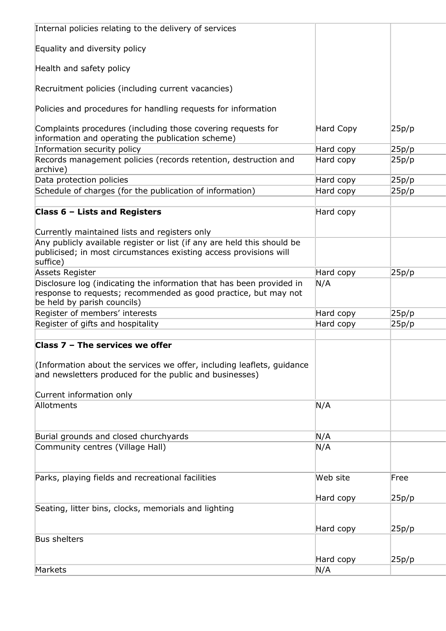| Internal policies relating to the delivery of services                                                                                                                 |                  |       |
|------------------------------------------------------------------------------------------------------------------------------------------------------------------------|------------------|-------|
| Equality and diversity policy                                                                                                                                          |                  |       |
| Health and safety policy                                                                                                                                               |                  |       |
| Recruitment policies (including current vacancies)                                                                                                                     |                  |       |
| Policies and procedures for handling requests for information                                                                                                          |                  |       |
| Complaints procedures (including those covering requests for<br>information and operating the publication scheme)                                                      | <b>Hard Copy</b> | 25p/p |
| Information security policy                                                                                                                                            | Hard copy        | 25p/p |
| Records management policies (records retention, destruction and<br>archive)                                                                                            | Hard copy        | 25p/p |
| Data protection policies                                                                                                                                               | Hard copy        | 25p/p |
| Schedule of charges (for the publication of information)                                                                                                               | Hard copy        | 25p/p |
|                                                                                                                                                                        |                  |       |
| Class 6 - Lists and Registers                                                                                                                                          | Hard copy        |       |
| Currently maintained lists and registers only                                                                                                                          |                  |       |
| Any publicly available register or list (if any are held this should be                                                                                                |                  |       |
| publicised; in most circumstances existing access provisions will<br>suffice)                                                                                          |                  |       |
| <b>Assets Register</b>                                                                                                                                                 | Hard copy        | 25p/p |
| Disclosure log (indicating the information that has been provided in<br>response to requests; recommended as good practice, but may not<br>be held by parish councils) | N/A              |       |
| Register of members' interests                                                                                                                                         | Hard copy        | 25p/p |
| Register of gifts and hospitality                                                                                                                                      | Hard copy        | 25p/p |
|                                                                                                                                                                        |                  |       |
| Class 7 - The services we offer                                                                                                                                        |                  |       |
| (Information about the services we offer, including leaflets, guidance<br>and newsletters produced for the public and businesses)                                      |                  |       |
| Current information only                                                                                                                                               |                  |       |
| Allotments                                                                                                                                                             | N/A              |       |
| Burial grounds and closed churchyards                                                                                                                                  | N/A              |       |
| Community centres (Village Hall)                                                                                                                                       | N/A              |       |
|                                                                                                                                                                        |                  |       |
| Parks, playing fields and recreational facilities                                                                                                                      | Web site         | Free  |
|                                                                                                                                                                        | Hard copy        | 25p/p |
| Seating, litter bins, clocks, memorials and lighting                                                                                                                   |                  |       |
|                                                                                                                                                                        | Hard copy        | 25p/p |
| <b>Bus shelters</b>                                                                                                                                                    |                  |       |
|                                                                                                                                                                        | Hard copy        |       |
| Markets                                                                                                                                                                | N/A              | 25p/p |
|                                                                                                                                                                        |                  |       |